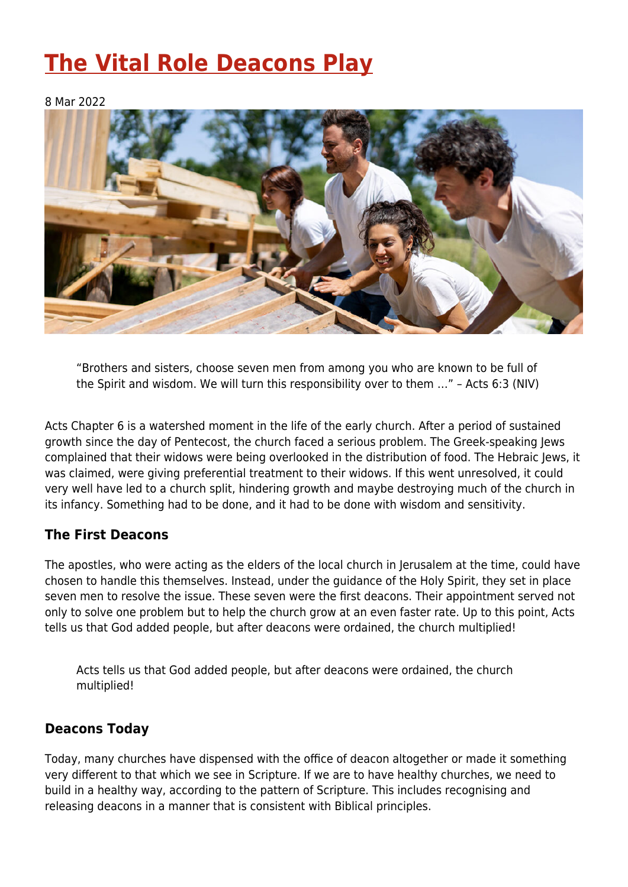# **[The Vital Role Deacons Play](https://four12global.com/articles/the-vital-role-deacons-play/)**

#### 8 Mar 2022



"Brothers and sisters, choose seven men from among you who are known to be full of the Spirit and wisdom. We will turn this responsibility over to them …" – Acts 6:3 (NIV)

Acts Chapter 6 is a watershed moment in the life of the early church. After a period of sustained growth since the day of Pentecost, the church faced a serious problem. The Greek-speaking Jews complained that their widows were being overlooked in the distribution of food. The Hebraic Jews, it was claimed, were giving preferential treatment to their widows. If this went unresolved, it could very well have led to a church split, hindering growth and maybe destroying much of the church in its infancy. Something had to be done, and it had to be done with wisdom and sensitivity.

### **The First Deacons**

The apostles, who were acting as the elders of the local church in Jerusalem at the time, could have chosen to handle this themselves. Instead, under the guidance of the Holy Spirit, they set in place seven men to resolve the issue. These seven were the first deacons. Their appointment served not only to solve one problem but to help the church grow at an even faster rate. Up to this point, Acts tells us that God added people, but after deacons were ordained, the church multiplied!

Acts tells us that God added people, but after deacons were ordained, the church multiplied!

### **Deacons Today**

Today, many churches have dispensed with the office of deacon altogether or made it something very different to that which we see in Scripture. If we are to have healthy churches, we need to build in a healthy way, according to the pattern of Scripture. This includes recognising and releasing deacons in a manner that is consistent with Biblical principles.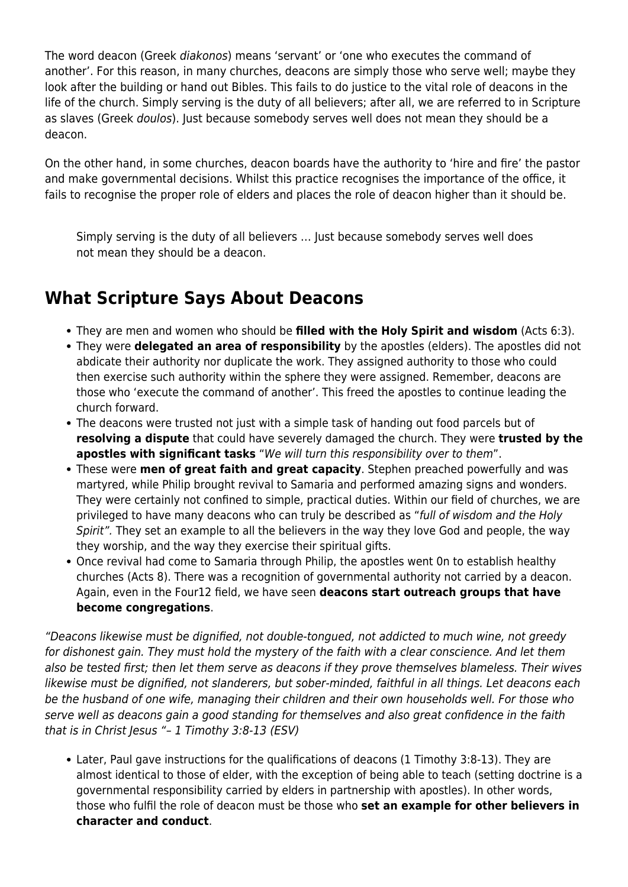The word deacon (Greek diakonos) means 'servant' or 'one who executes the command of another'. For this reason, in many churches, deacons are simply those who serve well; maybe they look after the building or hand out Bibles. This fails to do justice to the vital role of deacons in the life of the church. Simply serving is the duty of all believers; after all, we are referred to in Scripture as slaves (Greek doulos). Just because somebody serves well does not mean they should be a deacon.

On the other hand, in some churches, deacon boards have the authority to 'hire and fire' the pastor and make governmental decisions. Whilst this practice recognises the importance of the office, it fails to recognise the proper role of elders and places the role of deacon higher than it should be.

Simply serving is the duty of all believers … Just because somebody serves well does not mean they should be a deacon.

## **What Scripture Says About Deacons**

- They are men and women who should be **filled with the Holy Spirit and wisdom** (Acts 6:3).
- They were **delegated an area of responsibility** by the apostles (elders). The apostles did not abdicate their authority nor duplicate the work. They assigned authority to those who could then exercise such authority within the sphere they were assigned. Remember, deacons are those who 'execute the command of another'. This freed the apostles to continue leading the church forward.
- The deacons were trusted not just with a simple task of handing out food parcels but of **resolving a dispute** that could have severely damaged the church. They were **trusted by the apostles with significant tasks** "We will turn this responsibility over to them".
- These were **men of great faith and great capacity**. Stephen preached powerfully and was martyred, while Philip brought revival to Samaria and performed amazing signs and wonders. They were certainly not confined to simple, practical duties. Within our field of churches, we are privileged to have many deacons who can truly be described as "full of wisdom and the Holy Spirit". They set an example to all the believers in the way they love God and people, the way they worship, and the way they exercise their spiritual gifts.
- Once revival had come to Samaria through Philip, the apostles went 0n to establish healthy churches (Acts 8). There was a recognition of governmental authority not carried by a deacon. Again, even in the Four12 field, we have seen **deacons start outreach groups that have become congregations**.

"Deacons likewise must be dignified, not double-tongued, not addicted to much wine, not greedy for dishonest gain. They must hold the mystery of the faith with a clear conscience. And let them also be tested first; then let them serve as deacons if they prove themselves blameless. Their wives likewise must be dignified, not slanderers, but sober-minded, faithful in all things. Let deacons each be the husband of one wife, managing their children and their own households well. For those who serve well as deacons gain a good standing for themselves and also great confidence in the faith that is in Christ Jesus "– 1 Timothy 3:8-13 (ESV)

Later, Paul gave instructions for the qualifications of deacons (1 Timothy 3:8-13). They are almost identical to those of elder, with the exception of being able to teach (setting doctrine is a governmental responsibility carried by elders in partnership with apostles). In other words, those who fulfil the role of deacon must be those who **set an example for other believers in character and conduct**.